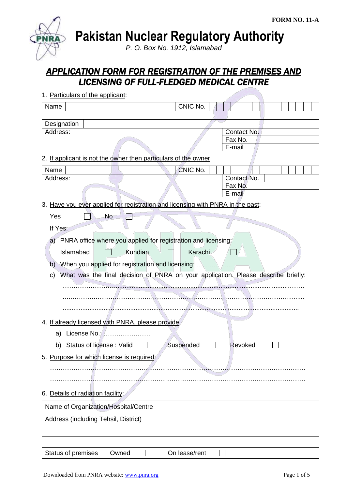**Pakistan Nuclear Regulatory Authority**

*P. O. Box No. 1912, Islamabad*

# *APPLICATION FORM FOR REGISTRATION OF THE PREMISES AND LICENSING OF FULL-FLEDGED MEDICAL CENTRE*

| 1. Particulars of the applicant:                                                        |               |                   |
|-----------------------------------------------------------------------------------------|---------------|-------------------|
| Name                                                                                    | CNIC No.      |                   |
|                                                                                         |               |                   |
| Designation                                                                             |               |                   |
| Address:                                                                                |               | Contact No.       |
|                                                                                         |               | Fax No.           |
|                                                                                         |               | E-mail            |
| 2. If applicant is not the owner then particulars of the owner:                         |               |                   |
| Name                                                                                    | CNIC No.      |                   |
| Address:                                                                                |               | Contact No.       |
|                                                                                         |               | Fax No.<br>E-mail |
|                                                                                         |               |                   |
| 3. Have you ever applied for registration and licensing with PNRA in the past:          |               |                   |
| Yes<br><b>No</b>                                                                        |               |                   |
| If Yes:                                                                                 |               |                   |
| a) PNRA office where you applied for registration and licensing:                        |               |                   |
|                                                                                         |               |                   |
| Kundian<br>Islamabad                                                                    | Karachi       |                   |
| $\mathsf{b}$                                                                            |               |                   |
| What was the final decision of PNRA on your application. Please describe briefly:<br>C) |               |                   |
|                                                                                         |               |                   |
|                                                                                         |               |                   |
|                                                                                         |               |                   |
|                                                                                         |               |                   |
| 4. If already licensed with PNRA, please provide:                                       |               |                   |
| License No.:<br>a)                                                                      |               |                   |
| b) Status of license: Valid                                                             | Suspended     | Revoked           |
| 5. Purpose for which license is required:                                               |               |                   |
|                                                                                         |               |                   |
|                                                                                         |               |                   |
|                                                                                         |               |                   |
| 6. Details of radiation facility:                                                       |               |                   |
|                                                                                         |               |                   |
| Name of Organization/Hospital/Centre                                                    |               |                   |
| Address (including Tehsil, District)                                                    |               |                   |
|                                                                                         |               |                   |
|                                                                                         |               |                   |
| Status of premises<br>Owned                                                             | On lease/rent |                   |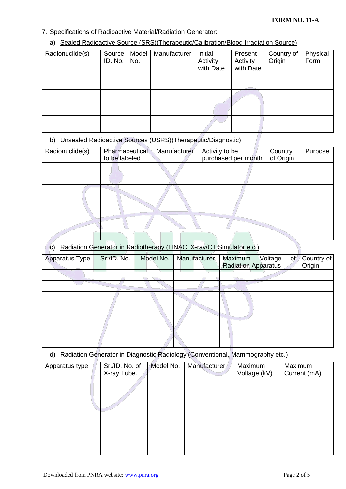#### 7. Specifications of Radioactive Material/Radiation Generator:

#### a) Sealed Radioactive Source (SRS)(Therapeutic/Calibration/Blood Irradiation Source)

| Radionuclide(s) | Source I<br>ID. No. | Model<br>No. | Manufacturer | Initial<br>Activity<br>with Date | Present<br>Activity<br>with Date | Country of<br>Origin | Physical<br>Form |
|-----------------|---------------------|--------------|--------------|----------------------------------|----------------------------------|----------------------|------------------|
|                 |                     |              |              |                                  |                                  |                      |                  |
|                 |                     |              |              |                                  |                                  |                      |                  |
|                 |                     |              |              |                                  |                                  |                      |                  |
|                 |                     |              |              |                                  |                                  |                      |                  |
|                 |                     |              |              |                                  |                                  |                      |                  |
|                 |                     |              |              |                                  |                                  |                      |                  |
|                 |                     |              |              |                                  |                                  |                      |                  |

### b) Unsealed Radioactive Sources (USRS)(Therapeutic/Diagnostic)

| Radionuclide(s) | Pharmaceutical<br>to be labeled | Manufacturer | Activity to be<br>purchased per month | Country<br>of Origin | Purpose |
|-----------------|---------------------------------|--------------|---------------------------------------|----------------------|---------|
|                 |                                 |              |                                       |                      |         |
|                 |                                 |              |                                       |                      |         |
|                 |                                 |              |                                       |                      |         |
|                 |                                 |              |                                       |                      |         |
|                 |                                 |              |                                       |                      |         |
|                 |                                 |              |                                       |                      |         |
|                 |                                 |              |                                       |                      |         |

## c) Radiation Generator in Radiotherapy (LINAC, X-ray/CT Simulator etc.)

| Apparatus Type | Sr./ID. No. | Model No. | Manufacturer | Maximum<br>Voltage<br>of<br><b>Radiation Apparatus</b> | Country of<br>Origin |
|----------------|-------------|-----------|--------------|--------------------------------------------------------|----------------------|
|                |             |           |              |                                                        |                      |
|                |             | w.        |              |                                                        |                      |
|                |             |           |              |                                                        |                      |
|                |             |           |              |                                                        |                      |
|                |             |           |              |                                                        |                      |
|                |             |           |              |                                                        |                      |
|                |             |           |              |                                                        |                      |
|                |             |           |              |                                                        |                      |

# d) Radiation Generator in Diagnostic Radiology (Conventional, Mammography etc.)

| Apparatus type | Sr./ID. No. of<br>X-ray Tube. | Model No. | Manufacturer | Maximum<br>Voltage (kV) | Maximum<br>Current (mA) |
|----------------|-------------------------------|-----------|--------------|-------------------------|-------------------------|
|                |                               |           |              |                         |                         |
|                |                               |           |              |                         |                         |
|                |                               |           |              |                         |                         |
|                |                               |           |              |                         |                         |
|                |                               |           |              |                         |                         |
|                |                               |           |              |                         |                         |
|                |                               |           |              |                         |                         |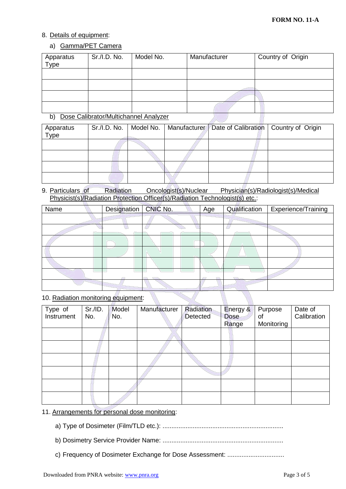#### 8. Details of equipment:

#### a) Gamma/PET Camera

| Apparatus<br>Type | Sr./I.D. No.                          | Model No. | Manufacturer | Country of Origin |
|-------------------|---------------------------------------|-----------|--------------|-------------------|
|                   |                                       |           |              |                   |
|                   |                                       |           |              |                   |
|                   |                                       |           |              |                   |
|                   |                                       |           |              |                   |
| b)                | Dose Calibrator/Multichannel Analyzer |           |              |                   |

#### b) Dose Calibrator/Multichannel Analyzer

| Apparatus<br>Type |  | Sr./I.D. No.   Model No.   Manufacturer   Date of Calibration   Country of Origin |  |
|-------------------|--|-----------------------------------------------------------------------------------|--|
|                   |  |                                                                                   |  |
|                   |  |                                                                                   |  |
|                   |  |                                                                                   |  |
|                   |  |                                                                                   |  |

9. Particulars of Radiation Oncologist(s)/Nuclear Physician(s)/Radiologist(s)/Medical Physicist(s)/Radiation Protection Officer(s)/Radiation Technologist(s) etc.:

| Name | <b>Designation</b> | CNIC No. | Age | Qualification | Experience/Training |
|------|--------------------|----------|-----|---------------|---------------------|
|      |                    |          |     |               |                     |
|      |                    |          |     |               |                     |
|      |                    |          |     |               |                     |
|      |                    |          |     |               |                     |
|      |                    |          |     |               |                     |
|      |                    |          |     |               |                     |
|      |                    |          |     |               |                     |

#### 10. Radiation monitoring equipment:

| Type of<br>Instrument | Sr./ID.<br>No. | Model<br>No. | Manufacturer | Radiation<br><b>Detected</b> | Energy &<br><b>Dose</b><br>Range | Purpose<br>0f<br>Monitoring | Date of<br>Calibration |
|-----------------------|----------------|--------------|--------------|------------------------------|----------------------------------|-----------------------------|------------------------|
|                       |                |              |              |                              |                                  |                             |                        |
|                       |                |              |              |                              |                                  |                             |                        |
|                       |                |              |              |                              |                                  |                             |                        |
|                       |                |              |              |                              |                                  |                             |                        |
|                       |                |              |              |                              |                                  |                             |                        |
|                       |                |              |              |                              |                                  |                             |                        |

#### 11. Arrangements for personal dose monitoring:

- a) Type of Dosimeter (Film/TLD etc.): ....................................................................
- b) Dosimetry Service Provider Name: ....................................................................
- c) Frequency of Dosimeter Exchange for Dose Assessment: ................................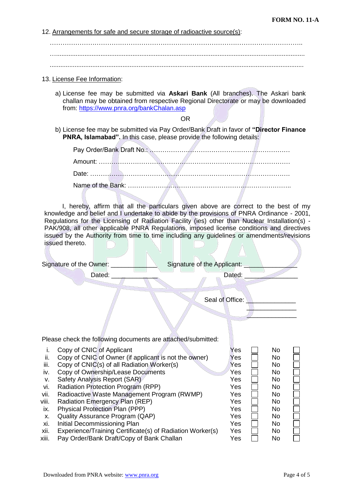12. Arrangements for safe and secure storage of radioactive source(s):

……………………………………………………………………………………………………….. …............................................................................................................................................ ...............................................................................................................................................

#### 13. License Fee Information:

a) License fee may be submitted via **Askari Bank** (All branches). The Askari bank challan may be obtained from respective Regional Directorate or may be downloaded from:<https://www.pnra.org/bankChalan.asp>

OR

b) License fee may be submitted via Pay Order/Bank Draft in favor of **"Director Finance PNRA, Islamabad".** In this case, please provide the following details:

I, hereby, affirm that all the particulars given above are correct to the best of my knowledge and belief and I undertake to abide by the provisions of PNRA Ordinance - 2001, Regulations for the Licensing of Radiation Facility (ies) other than Nuclear Installation(s) - PAK/908, all other applicable PNRA Regulations, imposed license conditions and directives issued by the Authority from time to time including any guidelines or amendments/revisions issued thereto.

|                   | Signature of the Owner: _<br>Signature of the Applicant:                                                                         |                   |                   |  |
|-------------------|----------------------------------------------------------------------------------------------------------------------------------|-------------------|-------------------|--|
|                   | Dated:                                                                                                                           | Dated:            |                   |  |
|                   |                                                                                                                                  | Seal of Office:   |                   |  |
|                   | Please check the following documents are attached/submitted:                                                                     |                   |                   |  |
| Ť.<br>ii.<br>iii. | Copy of CNIC of Applicant<br>Copy of CNIC of Owner (if applicant is not the owner)<br>Copy of CNIC(s) of all Radiation Worker(s) | Yes<br>Yes<br>Yes | No<br>No.<br>No.  |  |
| iv.<br>V.<br>vi.  | Copy of Ownership/Lease Documents<br>Safety Analysis Report (SAR)<br>Radiation Protection Program (RPP)                          | Yes<br>Yes<br>Yes | No.<br>No.<br>No. |  |
| vii.<br>viii.     | Radioactive Waste Management Program (RWMP)<br>Radiation Emergency Plan (REP)                                                    | Yes<br>Yes        | No.<br>No.        |  |
| ix.<br>Х.         | <b>Physical Protection Plan (PPP)</b><br>Quality Assurance Program (QAP)                                                         | Yes<br>Yes        | No.<br>No.        |  |
| xi.<br>xii.       | Initial Decommissioning Plan<br>Experience/Training Certificate(s) of Radiation Worker(s)                                        | Yes<br>Yes        | No.<br>No.        |  |

xiii. Pay Order/Bank Draft/Copy of Bank Challan Yes No